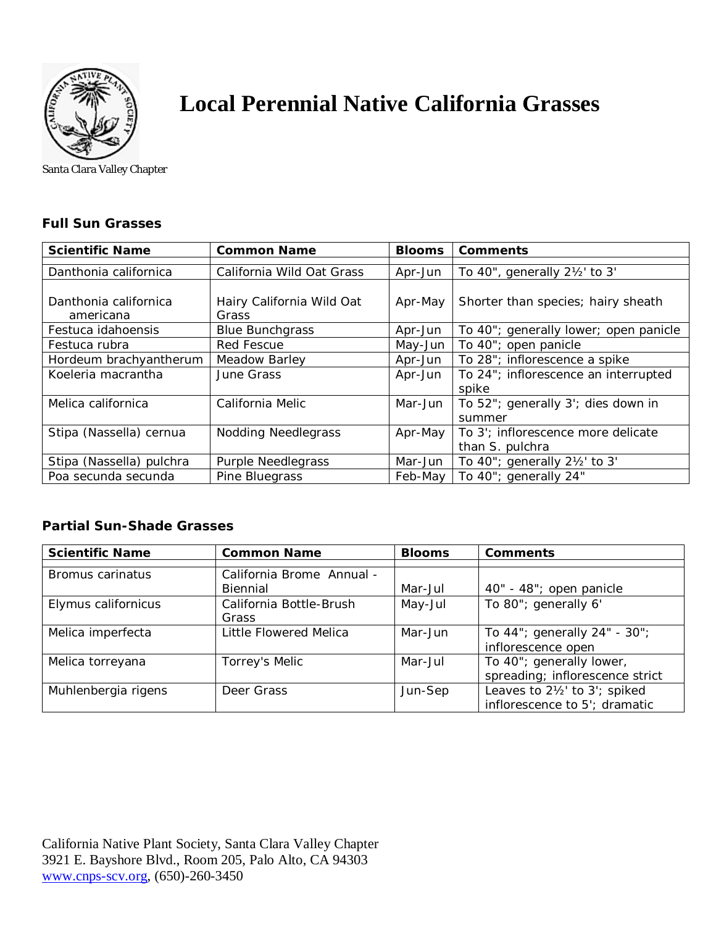

## **Local Perennial Native California Grasses**

Santa Clara Valley Chapter

## **Full Sun Grasses**

| <b>Scientific Name</b>             | <b>Common Name</b>                 | <b>Blooms</b> | <b>Comments</b>                                       |
|------------------------------------|------------------------------------|---------------|-------------------------------------------------------|
| Danthonia californica              | California Wild Oat Grass          | Apr-Jun       | To 40", generally 21/2' to 3'                         |
| Danthonia californica<br>americana | Hairy California Wild Oat<br>Grass | Apr-May       | Shorter than species; hairy sheath                    |
| Festuca idahoensis                 | <b>Blue Bunchgrass</b>             | Apr-Jun       | To 40"; generally lower; open panicle                 |
| Festuca rubra                      | <b>Red Fescue</b>                  | May-Jun       | To 40"; open panicle                                  |
| Hordeum brachyantherum             | <b>Meadow Barley</b>               | Apr-Jun       | To 28"; inflorescence a spike                         |
| Koeleria macrantha                 | June Grass                         | Apr-Jun       | To 24"; inflorescence an interrupted<br>spike         |
| Melica californica                 | California Melic                   | Mar-Jun       | To 52"; generally 3'; dies down in<br>summer          |
| Stipa (Nassella) cernua            | <b>Nodding Needlegrass</b>         | Apr-May       | To 3'; inflorescence more delicate<br>than S. pulchra |
| Stipa (Nassella) pulchra           | Purple Needlegrass                 | Mar-Jun       | To $40$ "; generally $2\frac{1}{2}$ to 3'             |
| Poa secunda secunda                | Pine Bluegrass                     | Feb-May       | To 40"; generally 24"                                 |

## **Partial Sun-Shade Grasses**

| <b>Scientific Name</b> | <b>Common Name</b>                    | <b>Blooms</b> | <b>Comments</b>                                                |
|------------------------|---------------------------------------|---------------|----------------------------------------------------------------|
| Bromus carinatus       | California Brome Annual -<br>Biennial | Mar-Jul       | 40" - 48"; open panicle                                        |
| Elymus californicus    | California Bottle-Brush<br>Grass      | May-Jul       | To 80"; generally 6'                                           |
| Melica imperfecta      | Little Flowered Melica                | Mar-Jun       | To 44"; generally 24" - 30";<br>inflorescence open             |
| Melica torreyana       | Torrey's Melic                        | Mar-Jul       | To 40"; generally lower,<br>spreading; inflorescence strict    |
| Muhlenbergia rigens    | Deer Grass                            | Jun-Sep       | Leaves to 21/2' to 3'; spiked<br>inflorescence to 5'; dramatic |